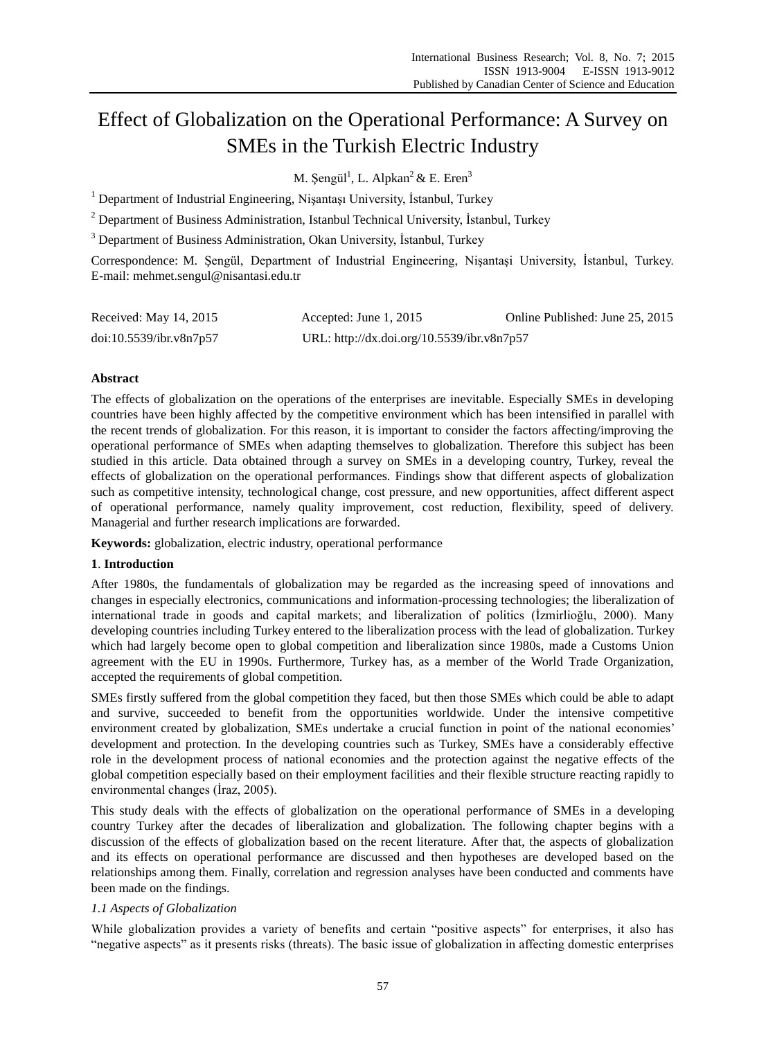# Effect of Globalization on the Operational Performance: A Survey on SMEs in the Turkish Electric Industry

M. Şengül<sup>1</sup>, L. Alpkan<sup>2</sup> & E. Eren<sup>3</sup>

 $1$  Department of Industrial Engineering, Nisantası University, İstanbul, Turkey

<sup>2</sup> Department of Business Administration, Istanbul Technical University, İstanbul, Turkey

<sup>3</sup> Department of Business Administration, Okan University, İstanbul, Turkey

Correspondence: M. Şengül, Department of Industrial Engineering, Nişantaşi University, İstanbul, Turkey. E-mail: mehmet.sengul@nisantasi.edu.tr

| Received: May 14, 2015  | Accepted: June 1, 2015                     | Online Published: June 25, 2015 |
|-------------------------|--------------------------------------------|---------------------------------|
| doi:10.5539/ibr.v8n7p57 | URL: http://dx.doi.org/10.5539/ibr.v8n7p57 |                                 |

# **Abstract**

The effects of globalization on the operations of the enterprises are inevitable. Especially SMEs in developing countries have been highly affected by the competitive environment which has been intensified in parallel with the recent trends of globalization. For this reason, it is important to consider the factors affecting/improving the operational performance of SMEs when adapting themselves to globalization. Therefore this subject has been studied in this article. Data obtained through a survey on SMEs in a developing country, Turkey, reveal the effects of globalization on the operational performances. Findings show that different aspects of globalization such as competitive intensity, technological change, cost pressure, and new opportunities, affect different aspect of operational performance, namely quality improvement, cost reduction, flexibility, speed of delivery. Managerial and further research implications are forwarded.

**Keywords:** globalization, electric industry, operational performance

## **1**. **Introduction**

After 1980s, the fundamentals of globalization may be regarded as the increasing speed of innovations and changes in especially electronics, communications and information-processing technologies; the liberalization of international trade in goods and capital markets; and liberalization of politics (İzmirlioğlu, 2000). Many developing countries including Turkey entered to the liberalization process with the lead of globalization. Turkey which had largely become open to global competition and liberalization since 1980s, made a Customs Union agreement with the EU in 1990s. Furthermore, Turkey has, as a member of the World Trade Organization, accepted the requirements of global competition.

SMEs firstly suffered from the global competition they faced, but then those SMEs which could be able to adapt and survive, succeeded to benefit from the opportunities worldwide. Under the intensive competitive environment created by globalization, SMEs undertake a crucial function in point of the national economies' development and protection. In the developing countries such as Turkey, SMEs have a considerably effective role in the development process of national economies and the protection against the negative effects of the global competition especially based on their employment facilities and their flexible structure reacting rapidly to environmental changes (İraz, 2005).

This study deals with the effects of globalization on the operational performance of SMEs in a developing country Turkey after the decades of liberalization and globalization. The following chapter begins with a discussion of the effects of globalization based on the recent literature. After that, the aspects of globalization and its effects on operational performance are discussed and then hypotheses are developed based on the relationships among them. Finally, correlation and regression analyses have been conducted and comments have been made on the findings.

# *1.1 Aspects of Globalization*

While globalization provides a variety of benefits and certain "positive aspects" for enterprises, it also has "negative aspects" as it presents risks (threats). The basic issue of globalization in affecting domestic enterprises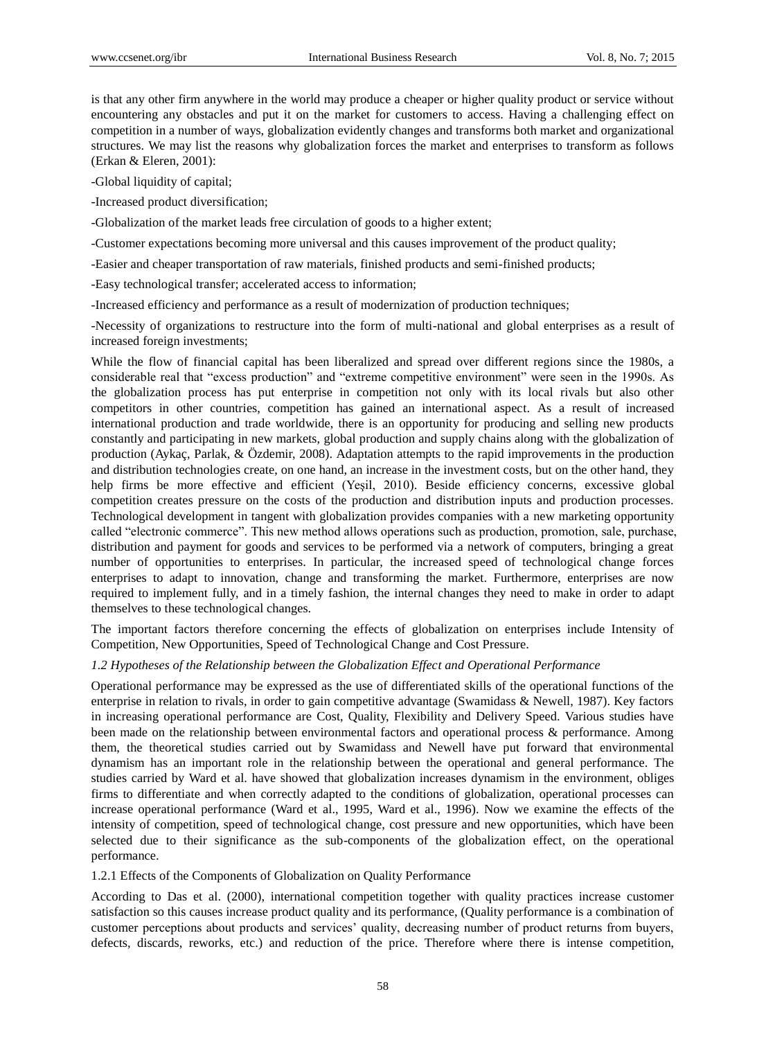is that any other firm anywhere in the world may produce a cheaper or higher quality product or service without encountering any obstacles and put it on the market for customers to access. Having a challenging effect on competition in a number of ways, globalization evidently changes and transforms both market and organizational structures. We may list the reasons why globalization forces the market and enterprises to transform as follows (Erkan & Eleren, 2001):

-Global liquidity of capital;

-Increased product diversification;

-Globalization of the market leads free circulation of goods to a higher extent;

-Customer expectations becoming more universal and this causes improvement of the product quality;

-Easier and cheaper transportation of raw materials, finished products and semi-finished products;

-Easy technological transfer; accelerated access to information;

-Increased efficiency and performance as a result of modernization of production techniques;

-Necessity of organizations to restructure into the form of multi-national and global enterprises as a result of increased foreign investments;

While the flow of financial capital has been liberalized and spread over different regions since the 1980s, a considerable real that "excess production" and "extreme competitive environment" were seen in the 1990s. As the globalization process has put enterprise in competition not only with its local rivals but also other competitors in other countries, competition has gained an international aspect. As a result of increased international production and trade worldwide, there is an opportunity for producing and selling new products constantly and participating in new markets, global production and supply chains along with the globalization of production (Aykaç, Parlak, & Ö zdemir, 2008). Adaptation attempts to the rapid improvements in the production and distribution technologies create, on one hand, an increase in the investment costs, but on the other hand, they help firms be more effective and efficient (Yeşil, 2010). Beside efficiency concerns, excessive global competition creates pressure on the costs of the production and distribution inputs and production processes. Technological development in tangent with globalization provides companies with a new marketing opportunity called "electronic commerce". This new method allows operations such as production, promotion, sale, purchase, distribution and payment for goods and services to be performed via a network of computers, bringing a great number of opportunities to enterprises. In particular, the increased speed of technological change forces enterprises to adapt to innovation, change and transforming the market. Furthermore, enterprises are now required to implement fully, and in a timely fashion, the internal changes they need to make in order to adapt themselves to these technological changes.

The important factors therefore concerning the effects of globalization on enterprises include Intensity of Competition, New Opportunities, Speed of Technological Change and Cost Pressure.

## *1.2 Hypotheses of the Relationship between the Globalization Effect and Operational Performance*

Operational performance may be expressed as the use of differentiated skills of the operational functions of the enterprise in relation to rivals, in order to gain competitive advantage (Swamidass & Newell, 1987). Key factors in increasing operational performance are Cost, Quality, Flexibility and Delivery Speed. Various studies have been made on the relationship between environmental factors and operational process & performance. Among them, the theoretical studies carried out by Swamidass and Newell have put forward that environmental dynamism has an important role in the relationship between the operational and general performance. The studies carried by Ward et al. have showed that globalization increases dynamism in the environment, obliges firms to differentiate and when correctly adapted to the conditions of globalization, operational processes can increase operational performance (Ward et al., 1995, Ward et al., 1996). Now we examine the effects of the intensity of competition, speed of technological change, cost pressure and new opportunities, which have been selected due to their significance as the sub-components of the globalization effect, on the operational performance.

## 1.2.1 Effects of the Components of Globalization on Quality Performance

According to Das et al. (2000), international competition together with quality practices increase customer satisfaction so this causes increase product quality and its performance, (Quality performance is a combination of customer perceptions about products and services' quality, decreasing number of product returns from buyers, defects, discards, reworks, etc.) and reduction of the price. Therefore where there is intense competition,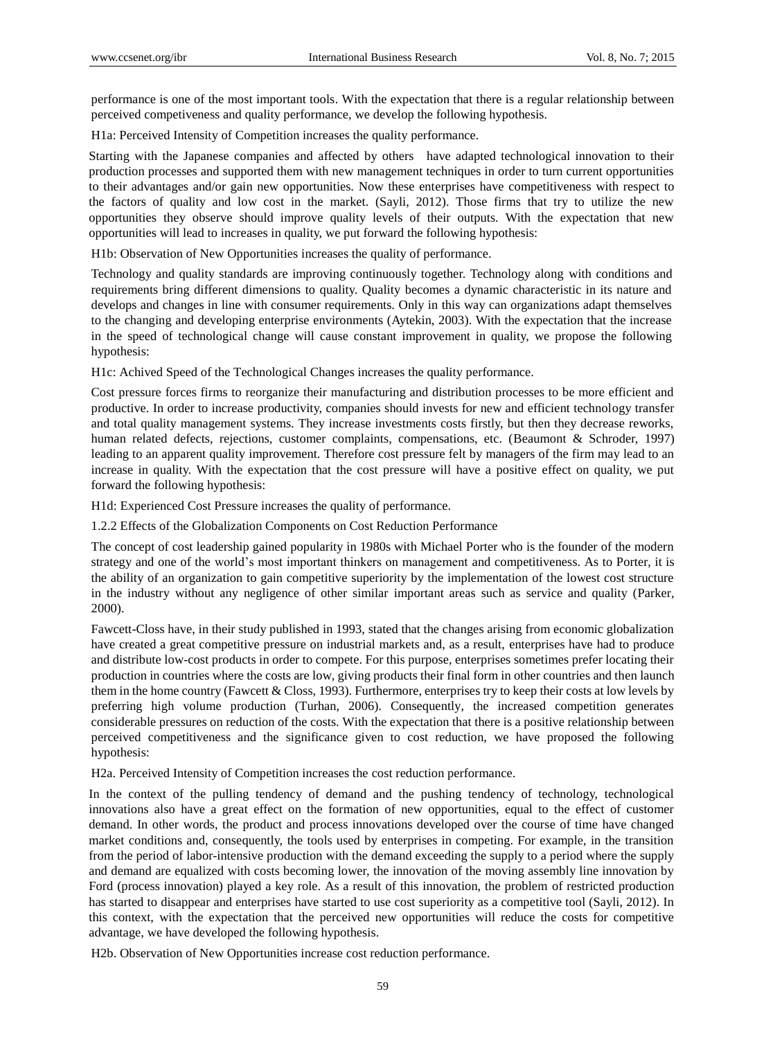performance is one of the most important tools. With the expectation that there is a regular relationship between perceived competiveness and quality performance, we develop the following hypothesis.

H1a: Perceived Intensity of Competition increases the quality performance.

Starting with the Japanese companies and affected by others have adapted technological innovation to their production processes and supported them with new management techniques in order to turn current opportunities to their advantages and/or gain new opportunities. Now these enterprises have competitiveness with respect to the factors of quality and low cost in the market. (Sayli, 2012). Those firms that try to utilize the new opportunities they observe should improve quality levels of their outputs. With the expectation that new opportunities will lead to increases in quality, we put forward the following hypothesis:

H1b: Observation of New Opportunities increases the quality of performance.

Technology and quality standards are improving continuously together. Technology along with conditions and requirements bring different dimensions to quality. Quality becomes a dynamic characteristic in its nature and develops and changes in line with consumer requirements. Only in this way can organizations adapt themselves to the changing and developing enterprise environments (Aytekin, 2003). With the expectation that the increase in the speed of technological change will cause constant improvement in quality, we propose the following hypothesis:

H1c: Achived Speed of the Technological Changes increases the quality performance.

Cost pressure forces firms to reorganize their manufacturing and distribution processes to be more efficient and productive. In order to increase productivity, companies should invests for new and efficient technology transfer and total quality management systems. They increase investments costs firstly, but then they decrease reworks, human related defects, rejections, customer complaints, compensations, etc. (Beaumont & Schroder, 1997) leading to an apparent quality improvement. Therefore cost pressure felt by managers of the firm may lead to an increase in quality. With the expectation that the cost pressure will have a positive effect on quality, we put forward the following hypothesis:

H1d: Experienced Cost Pressure increases the quality of performance.

1.2.2 Effects of the Globalization Components on Cost Reduction Performance

The concept of cost leadership gained popularity in 1980s with Michael Porter who is the founder of the modern strategy and one of the world's most important thinkers on management and competitiveness. As to Porter, it is the ability of an organization to gain competitive superiority by the implementation of the lowest cost structure in the industry without any negligence of other similar important areas such as service and quality (Parker, 2000).

Fawcett-Closs have, in their study published in 1993, stated that the changes arising from economic globalization have created a great competitive pressure on industrial markets and, as a result, enterprises have had to produce and distribute low-cost products in order to compete. For this purpose, enterprises sometimes prefer locating their production in countries where the costs are low, giving products their final form in other countries and then launch them in the home country (Fawcett & Closs, 1993). Furthermore, enterprises try to keep their costs at low levels by preferring high volume production (Turhan, 2006). Consequently, the increased competition generates considerable pressures on reduction of the costs. With the expectation that there is a positive relationship between perceived competitiveness and the significance given to cost reduction, we have proposed the following hypothesis:

H2a. Perceived Intensity of Competition increases the cost reduction performance.

In the context of the pulling tendency of demand and the pushing tendency of technology, technological innovations also have a great effect on the formation of new opportunities, equal to the effect of customer demand. In other words, the product and process innovations developed over the course of time have changed market conditions and, consequently, the tools used by enterprises in competing. For example, in the transition from the period of labor-intensive production with the demand exceeding the supply to a period where the supply and demand are equalized with costs becoming lower, the innovation of the moving assembly line innovation by Ford (process innovation) played a key role. As a result of this innovation, the problem of restricted production has started to disappear and enterprises have started to use cost superiority as a competitive tool (Sayli, 2012). In this context, with the expectation that the perceived new opportunities will reduce the costs for competitive advantage, we have developed the following hypothesis.

H2b. Observation of New Opportunities increase cost reduction performance.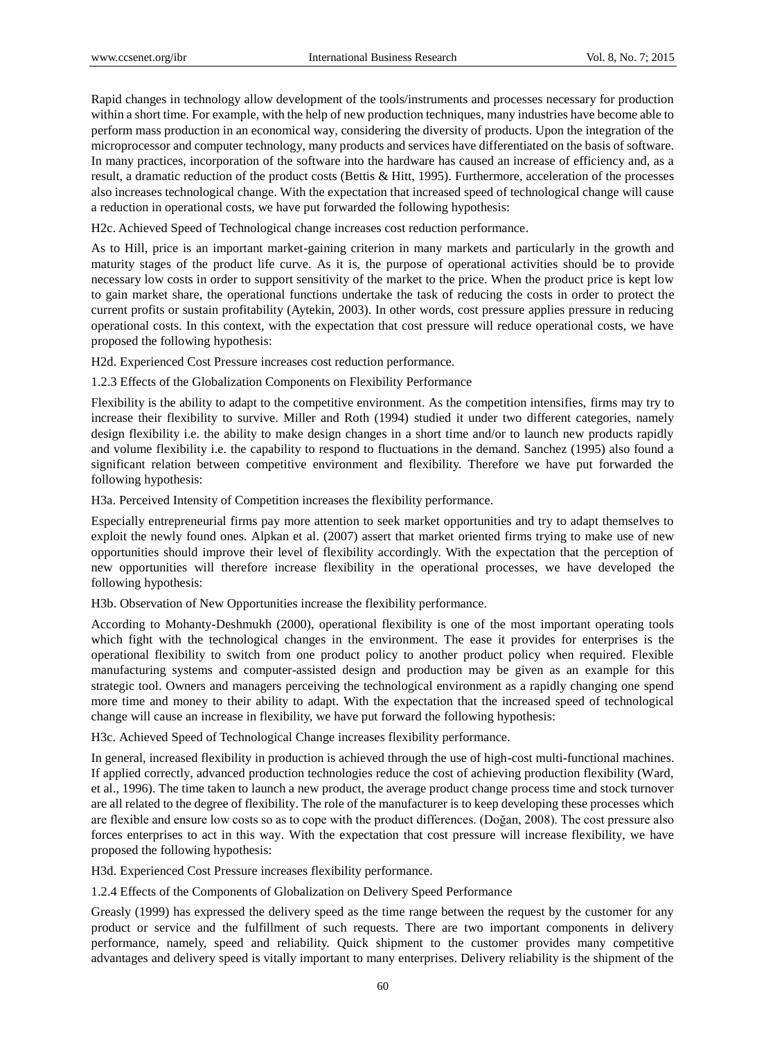Rapid changes in technology allow development of the tools/instruments and processes necessary for production within a short time. For example, with the help of new production techniques, many industries have become able to perform mass production in an economical way, considering the diversity of products. Upon the integration of the microprocessor and computer technology, many products and services have differentiated on the basis of software. In many practices, incorporation of the software into the hardware has caused an increase of efficiency and, as a result, a dramatic reduction of the product costs (Bettis & Hitt, 1995). Furthermore, acceleration of the processes also increases technological change. With the expectation that increased speed of technological change will cause a reduction in operational costs, we have put forwarded the following hypothesis:

H2c. Achieved Speed of Technological change increases cost reduction performance.

As to Hill, price is an important market-gaining criterion in many markets and particularly in the growth and maturity stages of the product life curve. As it is, the purpose of operational activities should be to provide necessary low costs in order to support sensitivity of the market to the price. When the product price is kept low to gain market share, the operational functions undertake the task of reducing the costs in order to protect the current profits or sustain profitability (Aytekin, 2003). In other words, cost pressure applies pressure in reducing operational costs. In this context, with the expectation that cost pressure will reduce operational costs, we have proposed the following hypothesis:

H2d. Experienced Cost Pressure increases cost reduction performance.

1.2.3 Effects of the Globalization Components on Flexibility Performance

Flexibility is the ability to adapt to the competitive environment. As the competition intensifies, firms may try to increase their flexibility to survive. Miller and Roth (1994) studied it under two different categories, namely design flexibility i.e. the ability to make design changes in a short time and/or to launch new products rapidly and volume flexibility i.e. the capability to respond to fluctuations in the demand. Sanchez (1995) also found a significant relation between competitive environment and flexibility. Therefore we have put forwarded the following hypothesis:

H3a. Perceived Intensity of Competition increases the flexibility performance.

Especially entrepreneurial firms pay more attention to seek market opportunities and try to adapt themselves to exploit the newly found ones. Alpkan et al. (2007) assert that market oriented firms trying to make use of new opportunities should improve their level of flexibility accordingly. With the expectation that the perception of new opportunities will therefore increase flexibility in the operational processes, we have developed the following hypothesis:

H3b. Observation of New Opportunities increase the flexibility performance.

According to Mohanty-Deshmukh (2000), operational flexibility is one of the most important operating tools which fight with the technological changes in the environment. The ease it provides for enterprises is the operational flexibility to switch from one product policy to another product policy when required. Flexible manufacturing systems and computer-assisted design and production may be given as an example for this strategic tool. Owners and managers perceiving the technological environment as a rapidly changing one spend more time and money to their ability to adapt. With the expectation that the increased speed of technological change will cause an increase in flexibility, we have put forward the following hypothesis:

H3c. Achieved Speed of Technological Change increases flexibility performance.

In general, increased flexibility in production is achieved through the use of high-cost multi-functional machines. If applied correctly, advanced production technologies reduce the cost of achieving production flexibility (Ward, et al., 1996). The time taken to launch a new product, the average product change process time and stock turnover are all related to the degree of flexibility. The role of the manufacturer is to keep developing these processes which are flexible and ensure low costs so as to cope with the product differences. (Doğan, 2008). The cost pressure also forces enterprises to act in this way. With the expectation that cost pressure will increase flexibility, we have proposed the following hypothesis:

H3d. Experienced Cost Pressure increases flexibility performance.

1.2.4 Effects of the Components of Globalization on Delivery Speed Performance

Greasly (1999) has expressed the delivery speed as the time range between the request by the customer for any product or service and the fulfillment of such requests. There are two important components in delivery performance, namely, speed and reliability. Quick shipment to the customer provides many competitive advantages and delivery speed is vitally important to many enterprises. Delivery reliability is the shipment of the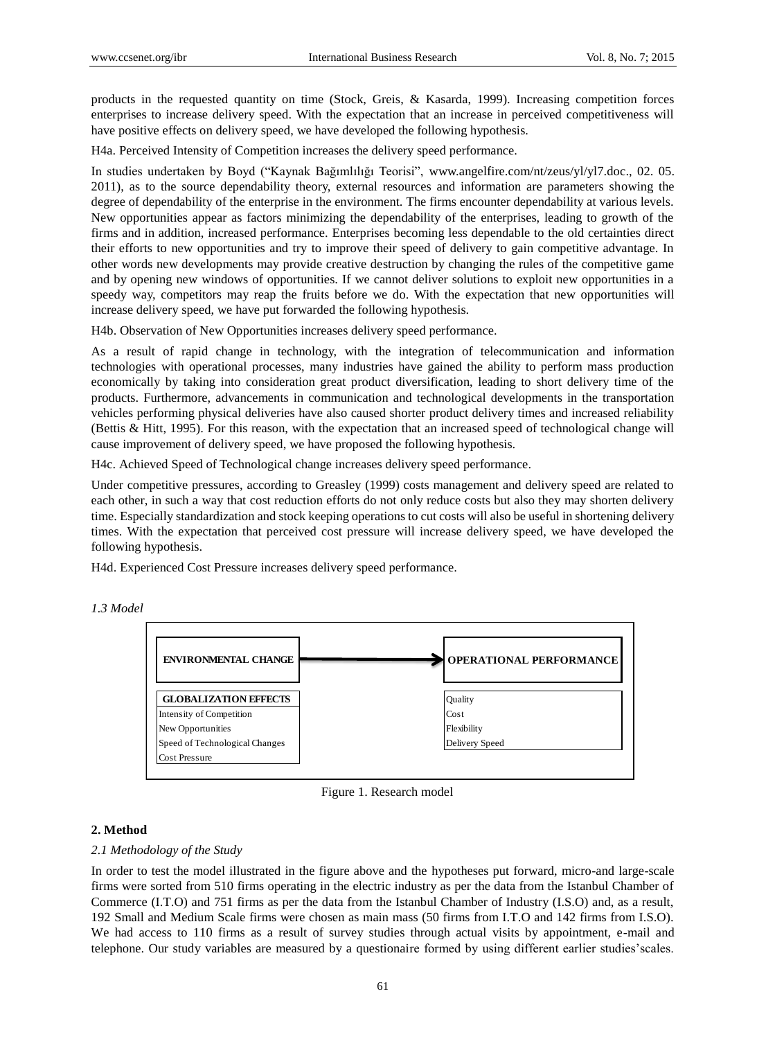products in the requested quantity on time (Stock, Greis, & Kasarda, 1999). Increasing competition forces enterprises to increase delivery speed. With the expectation that an increase in perceived competitiveness will have positive effects on delivery speed, we have developed the following hypothesis.

H4a. Perceived Intensity of Competition increases the delivery speed performance.

In studies undertaken by Boyd ("Kaynak Bağımlılığı Teorisi", www.angelfire.com/nt/zeus/yl/yl7.doc., 02. 05. 2011), as to the source dependability theory, external resources and information are parameters showing the degree of dependability of the enterprise in the environment. The firms encounter dependability at various levels. New opportunities appear as factors minimizing the dependability of the enterprises, leading to growth of the firms and in addition, increased performance. Enterprises becoming less dependable to the old certainties direct their efforts to new opportunities and try to improve their speed of delivery to gain competitive advantage. In other words new developments may provide creative destruction by changing the rules of the competitive game and by opening new windows of opportunities. If we cannot deliver solutions to exploit new opportunities in a speedy way, competitors may reap the fruits before we do. With the expectation that new opportunities will increase delivery speed, we have put forwarded the following hypothesis.

H4b. Observation of New Opportunities increases delivery speed performance.

As a result of rapid change in technology, with the integration of telecommunication and information technologies with operational processes, many industries have gained the ability to perform mass production economically by taking into consideration great product diversification, leading to short delivery time of the products. Furthermore, advancements in communication and technological developments in the transportation vehicles performing physical deliveries have also caused shorter product delivery times and increased reliability (Bettis & Hitt, 1995). For this reason, with the expectation that an increased speed of technological change will cause improvement of delivery speed, we have proposed the following hypothesis.

H4c. Achieved Speed of Technological change increases delivery speed performance.

Under competitive pressures, according to Greasley (1999) costs management and delivery speed are related to each other, in such a way that cost reduction efforts do not only reduce costs but also they may shorten delivery time. Especially standardization and stock keeping operations to cut costs will also be useful in shortening delivery times. With the expectation that perceived cost pressure will increase delivery speed, we have developed the following hypothesis.

H4d. Experienced Cost Pressure increases delivery speed performance.





Figure 1. Research model

#### **2. Method**

## *2.1 Methodology of the Study*

In order to test the model illustrated in the figure above and the hypotheses put forward, micro-and large-scale firms were sorted from 510 firms operating in the electric industry as per the data from the Istanbul Chamber of Commerce (I.T.O) and 751 firms as per the data from the Istanbul Chamber of Industry (I.S.O) and, as a result, 192 Small and Medium Scale firms were chosen as main mass (50 firms from I.T.O and 142 firms from I.S.O). We had access to 110 firms as a result of survey studies through actual visits by appointment, e-mail and telephone. Our study variables are measured by a questionaire formed by using different earlier studies'scales.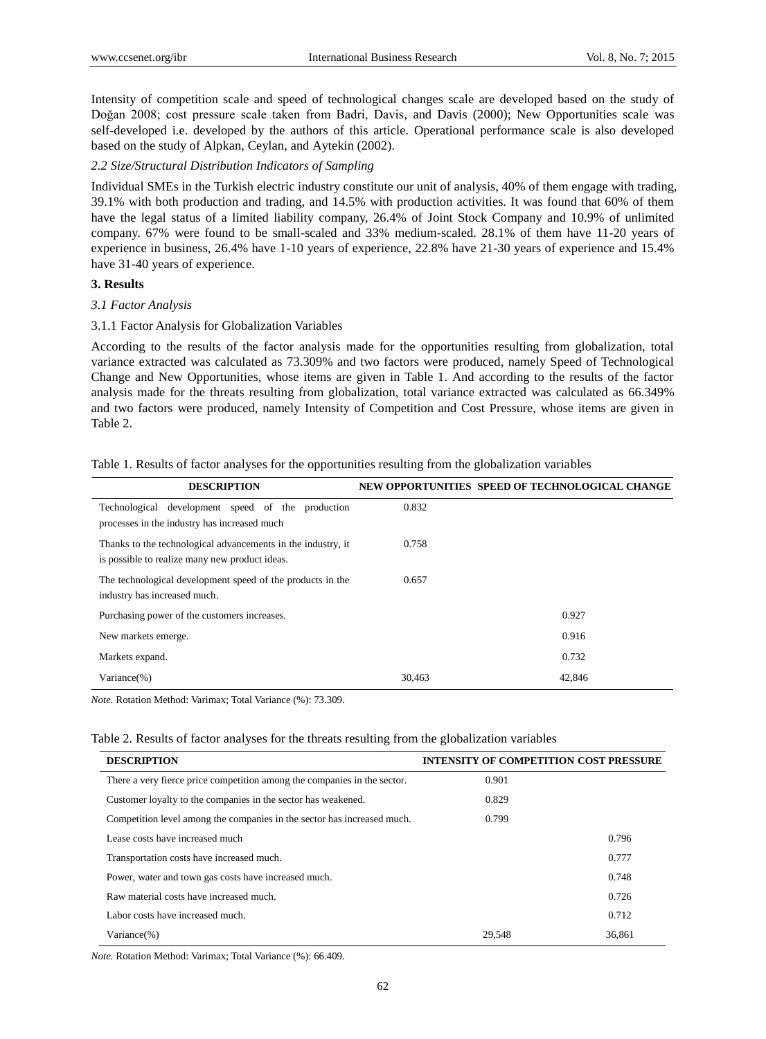Intensity of competition scale and speed of technological changes scale are developed based on the study of Doğan 2008; cost pressure scale taken from Badri, Davis, and Davis (2000); New Opportunities scale was self-developed i.e. developed by the authors of this article. Operational performance scale is also developed based on the study of Alpkan, Ceylan, and Aytekin (2002).

# *2.2 Size/Structural Distribution Indicators of Sampling*

Individual SMEs in the Turkish electric industry constitute our unit of analysis, 40% of them engage with trading, 39.1% with both production and trading, and 14.5% with production activities. It was found that 60% of them have the legal status of a limited liability company, 26.4% of Joint Stock Company and 10.9% of unlimited company. 67% were found to be small-scaled and 33% medium-scaled. 28.1% of them have 11-20 years of experience in business, 26.4% have 1-10 years of experience, 22.8% have 21-30 years of experience and 15.4% have 31-40 years of experience.

## **3. Results**

## *3.1 Factor Analysis*

# 3.1.1 Factor Analysis for Globalization Variables

According to the results of the factor analysis made for the opportunities resulting from globalization, total variance extracted was calculated as 73.309% and two factors were produced, namely Speed of Technological Change and New Opportunities, whose items are given in Table 1. And according to the results of the factor analysis made for the threats resulting from globalization, total variance extracted was calculated as 66.349% and two factors were produced, namely Intensity of Competition and Cost Pressure, whose items are given in Table 2.

|  | Table 1. Results of factor analyses for the opportunities resulting from the globalization variables |  |  |  |  |  |  |  |  |  |
|--|------------------------------------------------------------------------------------------------------|--|--|--|--|--|--|--|--|--|
|  |                                                                                                      |  |  |  |  |  |  |  |  |  |
|  |                                                                                                      |  |  |  |  |  |  |  |  |  |
|  |                                                                                                      |  |  |  |  |  |  |  |  |  |

| <b>DESCRIPTION</b>                                                                                             |        | NEW OPPORTUNITIES SPEED OF TECHNOLOGICAL CHANGE |
|----------------------------------------------------------------------------------------------------------------|--------|-------------------------------------------------|
| Technological development speed of the production<br>processes in the industry has increased much              | 0.832  |                                                 |
| Thanks to the technological advancements in the industry, it<br>is possible to realize many new product ideas. | 0.758  |                                                 |
| The technological development speed of the products in the<br>industry has increased much.                     | 0.657  |                                                 |
| Purchasing power of the customers increases.                                                                   |        | 0.927                                           |
| New markets emerge.                                                                                            |        | 0.916                                           |
| Markets expand.                                                                                                |        | 0.732                                           |
| Variance $(\%)$                                                                                                | 30.463 | 42,846                                          |

*Note.* Rotation Method: Varimax; Total Variance (%): 73.309.

|  |  |  |  | Table 2. Results of factor analyses for the threats resulting from the globalization variables |  |
|--|--|--|--|------------------------------------------------------------------------------------------------|--|
|  |  |  |  |                                                                                                |  |

| <b>DESCRIPTION</b>                                                       | <b>INTENSITY OF COMPETITION COST PRESSURE</b> |  |  |  |  |
|--------------------------------------------------------------------------|-----------------------------------------------|--|--|--|--|
| There a very fierce price competition among the companies in the sector. | 0.901                                         |  |  |  |  |
| Customer loyalty to the companies in the sector has weakened.            | 0.829                                         |  |  |  |  |
| Competition level among the companies in the sector has increased much.  | 0.799                                         |  |  |  |  |
| Lease costs have increased much                                          | 0.796                                         |  |  |  |  |
| Transportation costs have increased much.                                | 0.777                                         |  |  |  |  |
| Power, water and town gas costs have increased much.                     | 0.748                                         |  |  |  |  |
| Raw material costs have increased much.                                  | 0.726                                         |  |  |  |  |
| Labor costs have increased much.                                         | 0.712                                         |  |  |  |  |
| Variance(%)                                                              | 36,861<br>29.548                              |  |  |  |  |

*Note.* Rotation Method: Varimax; Total Variance (%): 66.409.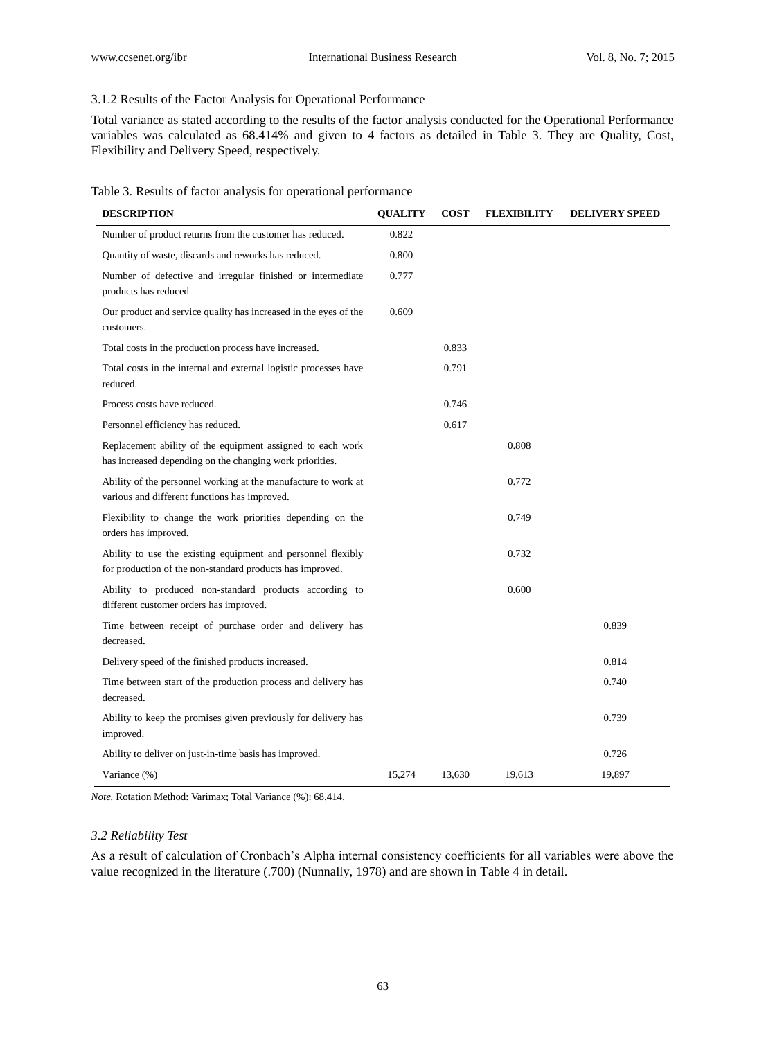## 3.1.2 Results of the Factor Analysis for Operational Performance

Total variance as stated according to the results of the factor analysis conducted for the Operational Performance variables was calculated as 68.414% and given to 4 factors as detailed in Table 3. They are Quality, Cost, Flexibility and Delivery Speed, respectively.

|  |  |  | Table 3. Results of factor analysis for operational performance |
|--|--|--|-----------------------------------------------------------------|
|  |  |  |                                                                 |

| <b>DESCRIPTION</b>                                                                                                        | <b>QUALITY</b> | <b>COST</b> | <b>FLEXIBILITY</b> | <b>DELIVERY SPEED</b> |
|---------------------------------------------------------------------------------------------------------------------------|----------------|-------------|--------------------|-----------------------|
| Number of product returns from the customer has reduced.                                                                  | 0.822          |             |                    |                       |
| Quantity of waste, discards and reworks has reduced.                                                                      | 0.800          |             |                    |                       |
| Number of defective and irregular finished or intermediate<br>products has reduced                                        | 0.777          |             |                    |                       |
| Our product and service quality has increased in the eyes of the<br>customers.                                            | 0.609          |             |                    |                       |
| Total costs in the production process have increased.                                                                     |                | 0.833       |                    |                       |
| Total costs in the internal and external logistic processes have<br>reduced.                                              |                | 0.791       |                    |                       |
| Process costs have reduced.                                                                                               |                | 0.746       |                    |                       |
| Personnel efficiency has reduced.                                                                                         |                | 0.617       |                    |                       |
| Replacement ability of the equipment assigned to each work<br>has increased depending on the changing work priorities.    |                |             | 0.808              |                       |
| Ability of the personnel working at the manufacture to work at<br>various and different functions has improved.           |                |             | 0.772              |                       |
| Flexibility to change the work priorities depending on the<br>orders has improved.                                        |                |             | 0.749              |                       |
| Ability to use the existing equipment and personnel flexibly<br>for production of the non-standard products has improved. |                |             | 0.732              |                       |
| Ability to produced non-standard products according to<br>different customer orders has improved.                         |                |             | 0.600              |                       |
| Time between receipt of purchase order and delivery has<br>decreased.                                                     |                |             |                    | 0.839                 |
| Delivery speed of the finished products increased.                                                                        |                |             |                    | 0.814                 |
| Time between start of the production process and delivery has<br>decreased.                                               |                |             |                    | 0.740                 |
| Ability to keep the promises given previously for delivery has<br>improved.                                               |                |             |                    | 0.739                 |
| Ability to deliver on just-in-time basis has improved.                                                                    |                |             |                    | 0.726                 |
| Variance (%)                                                                                                              | 15,274         | 13,630      | 19,613             | 19,897                |

*Note.* Rotation Method: Varimax; Total Variance (%): 68.414.

# *3.2 Reliability Test*

As a result of calculation of Cronbach's Alpha internal consistency coefficients for all variables were above the value recognized in the literature (.700) (Nunnally, 1978) and are shown in Table 4 in detail.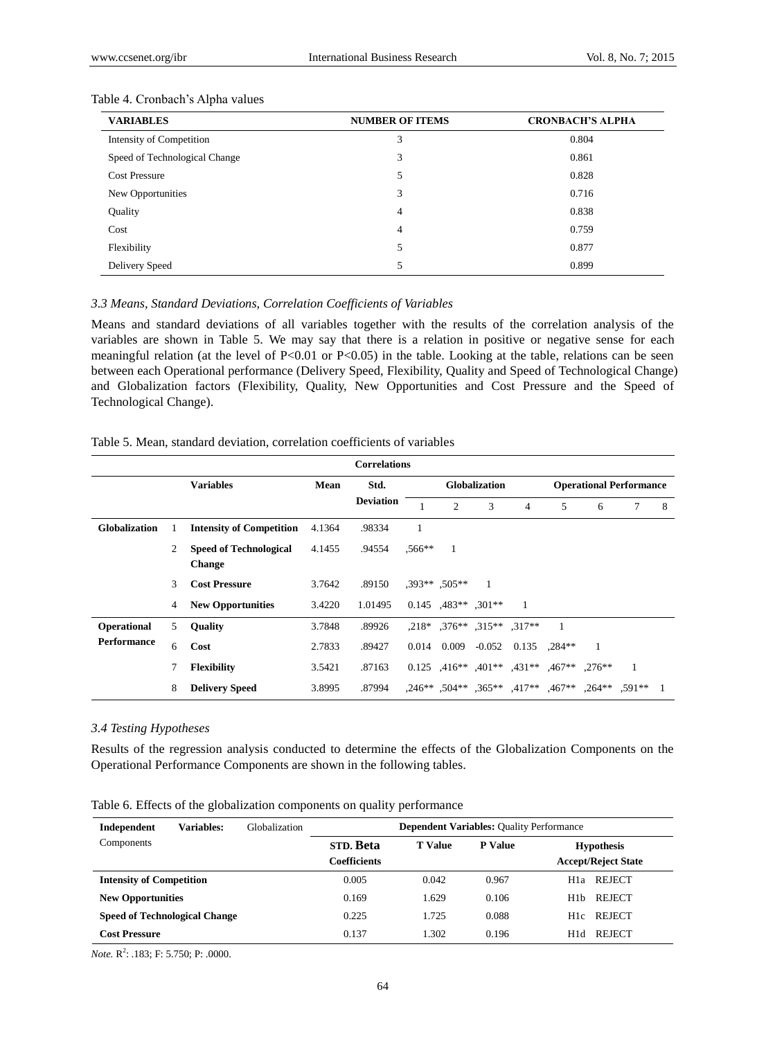| <b>VARIABLES</b>              | <b>NUMBER OF ITEMS</b> | <b>CRONBACH'S ALPHA</b> |
|-------------------------------|------------------------|-------------------------|
| Intensity of Competition      | 3                      | 0.804                   |
| Speed of Technological Change | 3                      | 0.861                   |
| <b>Cost Pressure</b>          | 5                      | 0.828                   |
| New Opportunities             | 3                      | 0.716                   |
| Quality                       | 4                      | 0.838                   |
| Cost                          | 4                      | 0.759                   |
| Flexibility                   | 5                      | 0.877                   |
| Delivery Speed                | 5                      | 0.899                   |

#### Table 4. Cronbach's Alpha values

## *3.3 Means, Standard Deviations, Correlation Coefficients of Variables*

Means and standard deviations of all variables together with the results of the correlation analysis of the variables are shown in Table 5. We may say that there is a relation in positive or negative sense for each meaningful relation (at the level of P<0.01 or P<0.05) in the table. Looking at the table, relations can be seen between each Operational performance (Delivery Speed, Flexibility, Quality and Speed of Technological Change) and Globalization factors (Flexibility, Quality, New Opportunities and Cost Pressure and the Speed of Technological Change).

## Table 5. Mean, standard deviation, correlation coefficients of variables

|                    | <b>Correlations</b> |                                                |        |                  |                      |                               |                                    |                                                      |          |                                |                               |   |  |
|--------------------|---------------------|------------------------------------------------|--------|------------------|----------------------|-------------------------------|------------------------------------|------------------------------------------------------|----------|--------------------------------|-------------------------------|---|--|
|                    |                     | <b>Variables</b>                               | Mean   | Std.             | <b>Globalization</b> |                               |                                    |                                                      |          | <b>Operational Performance</b> |                               |   |  |
|                    |                     |                                                |        | <b>Deviation</b> |                      | $\overline{c}$                | 3                                  | 4                                                    | 5        | 6                              | 7                             | 8 |  |
| Globalization      |                     | <b>Intensity of Competition</b>                | 4.1364 | .98334           |                      |                               |                                    |                                                      |          |                                |                               |   |  |
|                    | 2                   | <b>Speed of Technological</b><br><b>Change</b> | 4.1455 | .94554           | $.566**$             | 1                             |                                    |                                                      |          |                                |                               |   |  |
|                    | 3                   | <b>Cost Pressure</b>                           | 3.7642 | .89150           |                      | $.393**$ .505**               | -1                                 |                                                      |          |                                |                               |   |  |
|                    | 4                   | <b>New Opportunities</b>                       | 3.4220 | 1.01495          |                      | $0.145$ , $.483**$ , $.301**$ |                                    | 1                                                    |          |                                |                               |   |  |
| Operational        | 5                   | <b>Ouality</b>                                 | 3.7848 | .89926           |                      |                               | $.218*$ $.376**$ $.315**$ $.317**$ |                                                      | 1        |                                |                               |   |  |
| <b>Performance</b> | 6                   | Cost                                           | 2.7833 | .89427           | 0.014                | 0.009                         | $-0.052$                           | 0.135                                                | $.284**$ | 1                              |                               |   |  |
|                    | 7                   | <b>Flexibility</b>                             | 3.5421 | .87163           |                      |                               |                                    | $0.125$ $.416**$ $.401**$ $.431**$ $.467**$ $.276**$ |          |                                | 1                             |   |  |
|                    | 8                   | <b>Delivery Speed</b>                          | 3.8995 | .87994           |                      |                               |                                    | $,246***$ $,504***$ $,365***$ $,417**$               |          |                                | $0.467**$ $0.264**$ $0.591**$ |   |  |

#### *3.4 Testing Hypotheses*

Results of the regression analysis conducted to determine the effects of the Globalization Components on the Operational Performance Components are shown in the following tables.

|  | Table 6. Effects of the globalization components on quality performance |  |  |
|--|-------------------------------------------------------------------------|--|--|
|  |                                                                         |  |  |

| Independent                          | Variables: | Globalization | <b>Dependent Variables: Quality Performance</b> |                |                |                                                 |  |  |  |  |
|--------------------------------------|------------|---------------|-------------------------------------------------|----------------|----------------|-------------------------------------------------|--|--|--|--|
| Components                           |            |               | <b>STD.</b> Beta<br>Coefficients                | <b>T</b> Value | <b>P</b> Value | <b>Hypothesis</b><br><b>Accept/Reject State</b> |  |  |  |  |
| <b>Intensity of Competition</b>      |            |               | 0.005                                           | 0.042          | 0.967          | REJECT<br>H1a                                   |  |  |  |  |
| <b>New Opportunities</b>             |            |               | 0.169                                           | 1.629          | 0.106          | REJECT<br>H1b.                                  |  |  |  |  |
| <b>Speed of Technological Change</b> |            |               | 0.225                                           | 1.725          | 0.088          | REJECT<br>H <sub>1c</sub>                       |  |  |  |  |
| <b>Cost Pressure</b>                 |            |               | 0.137                                           | 1.302          | 0.196          | <b>REJECT</b><br>H1d                            |  |  |  |  |

*Note.* R 2 : .183; F: 5.750; P: .0000.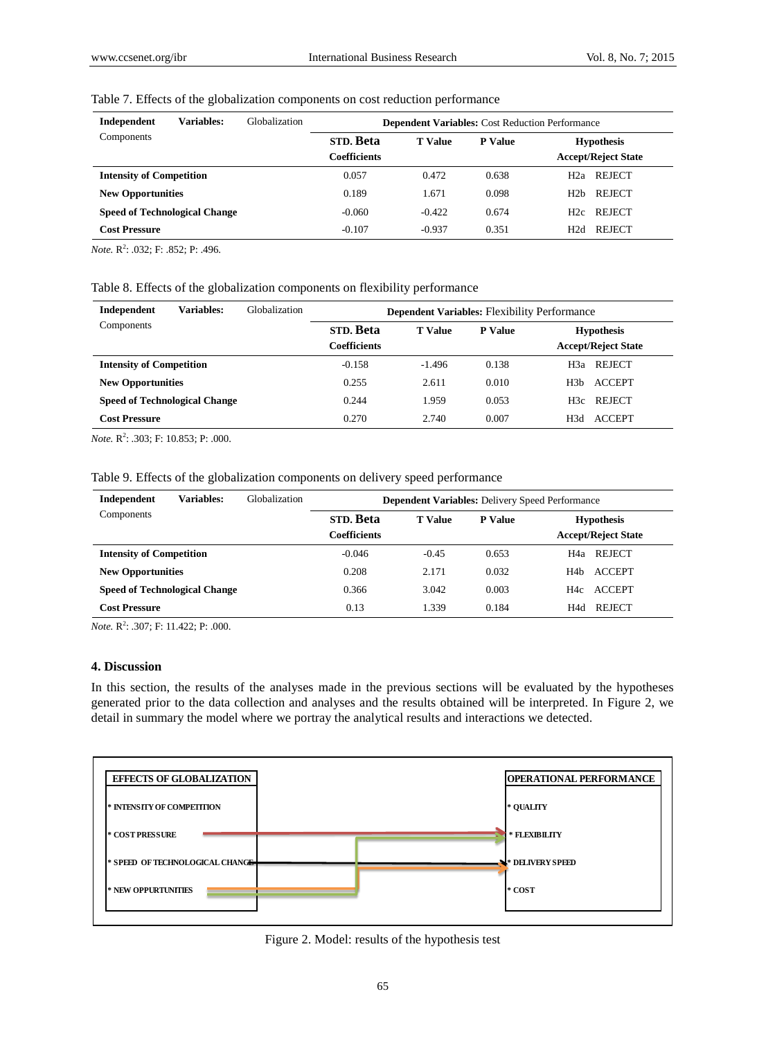| Independent                     | <b>Variables:</b>                    | Globalization | <b>Dependent Variables:</b> Cost Reduction Performance |                |                |                                                 |  |  |  |  |  |
|---------------------------------|--------------------------------------|---------------|--------------------------------------------------------|----------------|----------------|-------------------------------------------------|--|--|--|--|--|
| Components                      |                                      |               | <b>STD.</b> Beta<br><b>Coefficients</b>                | <b>T</b> Value | <b>P</b> Value | <b>Hypothesis</b><br><b>Accept/Reject State</b> |  |  |  |  |  |
| <b>Intensity of Competition</b> |                                      |               | 0.057                                                  | 0.472          | 0.638          | <b>REJECT</b><br>H2a                            |  |  |  |  |  |
| <b>New Opportunities</b>        |                                      |               | 0.189                                                  | 1.671          | 0.098          | <b>REJECT</b><br>H2h                            |  |  |  |  |  |
|                                 | <b>Speed of Technological Change</b> |               | $-0.060$                                               | $-0.422$       | 0.674          | <b>REJECT</b><br>H2c                            |  |  |  |  |  |
| <b>Cost Pressure</b>            |                                      |               | $-0.107$                                               | $-0.937$       | 0.351          | <b>REJECT</b><br>H2d                            |  |  |  |  |  |

#### Table 7. Effects of the globalization components on cost reduction performance

*Note.* R<sup>2</sup>: .032; F: .852; P: .496.

## Table 8. Effects of the globalization components on flexibility performance

| Independent                          | <b>Variables:</b> | Globalization | <b>Dependent Variables:</b> Flexibility Performance |                |                      |                                                 |  |
|--------------------------------------|-------------------|---------------|-----------------------------------------------------|----------------|----------------------|-------------------------------------------------|--|
| Components                           |                   |               | <b>STD.</b> Beta<br><b>Coefficients</b>             | <b>T</b> Value | <b>P</b> Value       | <b>Hypothesis</b><br><b>Accept/Reject State</b> |  |
| <b>Intensity of Competition</b>      |                   |               | $-0.158$                                            | $-1.496$       | 0.138                | REJECT<br>H3a                                   |  |
| <b>New Opportunities</b>             |                   | 0.255         | 2.611                                               | 0.010          | H3h<br><b>ACCEPT</b> |                                                 |  |
| <b>Speed of Technological Change</b> |                   | 0.244         | 1.959                                               | 0.053          | REJECT<br>H3c        |                                                 |  |
| <b>Cost Pressure</b>                 |                   |               | 0.270                                               | 2.740          | 0.007                | <b>ACCEPT</b><br>H3d                            |  |

*Note.* R 2 : .303; F: 10.853; P: .000.

Table 9. Effects of the globalization components on delivery speed performance

| Independent                          | Variables: | Globalization | Dependent Variables: Delivery Speed Performance |                |                      |                                                 |  |
|--------------------------------------|------------|---------------|-------------------------------------------------|----------------|----------------------|-------------------------------------------------|--|
| Components                           |            |               | <b>STD.</b> Beta<br><b>Coefficients</b>         | <b>T</b> Value | <b>P</b> Value       | <b>Hypothesis</b><br><b>Accept/Reject State</b> |  |
| <b>Intensity of Competition</b>      |            |               | $-0.046$                                        | $-0.45$        | 0.653                | H <sub>4</sub> a<br>REJECT                      |  |
| <b>New Opportunities</b>             |            |               | 0.208                                           | 2.171          | 0.032                | <b>ACCEPT</b><br>H4b                            |  |
| <b>Speed of Technological Change</b> |            | 0.366         | 3.042                                           | 0.003          | <b>ACCEPT</b><br>H4c |                                                 |  |
| <b>Cost Pressure</b>                 |            |               | 0.13                                            | 1.339          | 0.184                | <b>REJECT</b><br>H4d                            |  |

*Note.* R 2 : .307; F: 11.422; P: .000.

## **4. Discussion**

In this section, the results of the analyses made in the previous sections will be evaluated by the hypotheses generated prior to the data collection and analyses and the results obtained will be interpreted. In Figure 2, we detail in summary the model where we portray the analytical results and interactions we detected.



Figure 2. Model: results of the hypothesis test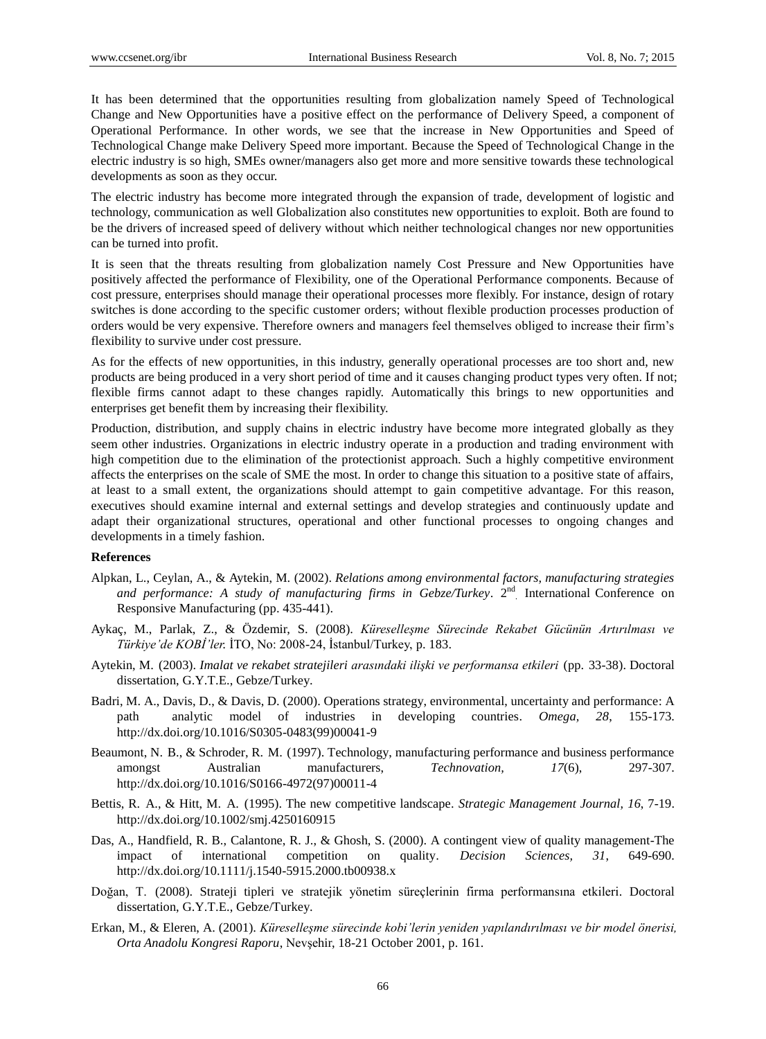It has been determined that the opportunities resulting from globalization namely Speed of Technological Change and New Opportunities have a positive effect on the performance of Delivery Speed, a component of Operational Performance. In other words, we see that the increase in New Opportunities and Speed of Technological Change make Delivery Speed more important. Because the Speed of Technological Change in the electric industry is so high, SMEs owner/managers also get more and more sensitive towards these technological developments as soon as they occur.

The electric industry has become more integrated through the expansion of trade, development of logistic and technology, communication as well Globalization also constitutes new opportunities to exploit. Both are found to be the drivers of increased speed of delivery without which neither technological changes nor new opportunities can be turned into profit.

It is seen that the threats resulting from globalization namely Cost Pressure and New Opportunities have positively affected the performance of Flexibility, one of the Operational Performance components. Because of cost pressure, enterprises should manage their operational processes more flexibly. For instance, design of rotary switches is done according to the specific customer orders; without flexible production processes production of orders would be very expensive. Therefore owners and managers feel themselves obliged to increase their firm's flexibility to survive under cost pressure.

As for the effects of new opportunities, in this industry, generally operational processes are too short and, new products are being produced in a very short period of time and it causes changing product types very often. If not; flexible firms cannot adapt to these changes rapidly. Automatically this brings to new opportunities and enterprises get benefit them by increasing their flexibility.

Production, distribution, and supply chains in electric industry have become more integrated globally as they seem other industries. Organizations in electric industry operate in a production and trading environment with high competition due to the elimination of the protectionist approach. Such a highly competitive environment affects the enterprises on the scale of SME the most. In order to change this situation to a positive state of affairs, at least to a small extent, the organizations should attempt to gain competitive advantage. For this reason, executives should examine internal and external settings and develop strategies and continuously update and adapt their organizational structures, operational and other functional processes to ongoing changes and developments in a timely fashion.

#### **References**

- Alpkan, L., Ceylan, A., & Aytekin, M. (2002). *Relations among environmental factors, manufacturing strategies*  and performance: A study of manufacturing firms in Gebze/Turkey. 2<sup>nd</sup> International Conference on Responsive Manufacturing (pp. 435-441).
- Aykaç, M., Parlak, Z., & Ö zdemir, S. (2008). *Küreselleşme Sürecinde Rekabet Gücünün Artırılması ve Türkiye'de KOBİ'ler.* İTO, No: 2008-24, İstanbul/Turkey, p. 183.
- Aytekin, M. (2003). *Imalat ve rekabet stratejileri arasındaki ilişki ve performansa etkileri* (pp. 33-38). Doctoral dissertation, G.Y.T.E., Gebze/Turkey.
- Badri, M. A., Davis, D., & Davis, D. (2000). Operations strategy, environmental, uncertainty and performance: A path analytic model of industries in developing countries. *Omega, 28*, 155-173. http://dx.doi.org/10.1016/S0305-0483(99)00041-9
- Beaumont, N. B., & Schroder, R. M. (1997). Technology, manufacturing performance and business performance amongst Australian manufacturers, *Technovation, 17*(6), 297-307. http://dx.doi.org/10.1016/S0166-4972(97)00011-4
- Bettis, R. A., & Hitt, M. A. (1995). The new competitive landscape. *Strategic Management Journal, 16*, 7-19. http://dx.doi.org/10.1002/smj.4250160915
- Das, A., Handfield, R. B., Calantone, R. J., & Ghosh, S. (2000). A contingent view of quality management-The impact of international competition on quality. *Decision Sciences, 31*, 649-690. http://dx.doi.org/10.1111/j.1540-5915.2000.tb00938.x
- Doğan, T. (2008). Strateji tipleri ve stratejik yönetim süreçlerinin firma performansına etkileri. Doctoral dissertation, G.Y.T.E., Gebze/Turkey.
- Erkan, M., & Eleren, A. (2001). *Küreselleşme sürecinde kobi'lerin yeniden yapılandırılması ve bir model önerisi, Orta Anadolu Kongresi Raporu*, Nevşehir, 18-21 October 2001, p. 161.